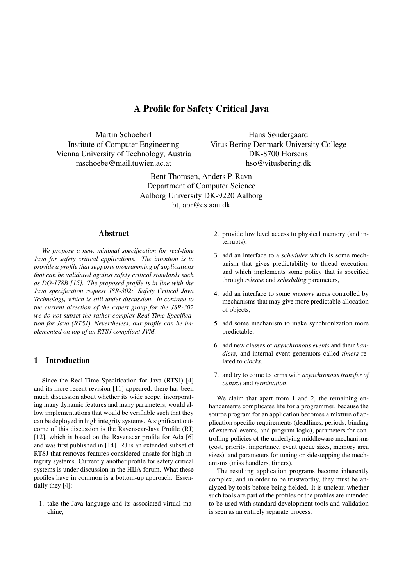# A Profile for Safety Critical Java

Martin Schoeberl Institute of Computer Engineering Vienna University of Technology, Austria mschoebe@mail.tuwien.ac.at

Hans Søndergaard Vitus Bering Denmark University College DK-8700 Horsens hso@vitusbering.dk

Bent Thomsen, Anders P. Ravn Department of Computer Science Aalborg University DK-9220 Aalborg bt, apr@cs.aau.dk

# Abstract

*We propose a new, minimal specification for real-time Java for safety critical applications. The intention is to provide a profile that supports programming of applications that can be validated against safety critical standards such as DO-178B [15]. The proposed profile is in line with the Java specification request JSR-302: Safety Critical Java Technology, which is still under discussion. In contrast to the current direction of the expert group for the JSR-302 we do not subset the rather complex Real-Time Specification for Java (RTSJ). Nevertheless, our profile can be implemented on top of an RTSJ compliant JVM.*

# 1 Introduction

Since the Real-Time Specification for Java (RTSJ) [4] and its more recent revision [11] appeared, there has been much discussion about whether its wide scope, incorporating many dynamic features and many parameters, would allow implementations that would be verifiable such that they can be deployed in high integrity systems. A significant outcome of this discussion is the Ravenscar-Java Profile (RJ) [12], which is based on the Ravenscar profile for Ada [6] and was first published in [14]. RJ is an extended subset of RTSJ that removes features considered unsafe for high integrity systems. Currently another profile for safety critical systems is under discussion in the HIJA forum. What these profiles have in common is a bottom-up approach. Essentially they [4]:

1. take the Java language and its associated virtual machine,

- 2. provide low level access to physical memory (and interrupts),
- 3. add an interface to a *scheduler* which is some mechanism that gives predictability to thread execution, and which implements some policy that is specified through *release* and *scheduling* parameters,
- 4. add an interface to some *memory* areas controlled by mechanisms that may give more predictable allocation of objects,
- 5. add some mechanism to make synchronization more predictable,
- 6. add new classes of *asynchronous events* and their *handlers*, and internal event generators called *timers* related to *clocks*,
- 7. and try to come to terms with *asynchronous transfer of control* and *termination*.

We claim that apart from 1 and 2, the remaining enhancements complicates life for a programmer, because the source program for an application becomes a mixture of application specific requirements (deadlines, periods, binding of external events, and program logic), parameters for controlling policies of the underlying middleware mechanisms (cost, priority, importance, event queue sizes, memory area sizes), and parameters for tuning or sidestepping the mechanisms (miss handlers, timers).

The resulting application programs become inherently complex, and in order to be trustworthy, they must be analyzed by tools before being fielded. It is unclear, whether such tools are part of the profiles or the profiles are intended to be used with standard development tools and validation is seen as an entirely separate process.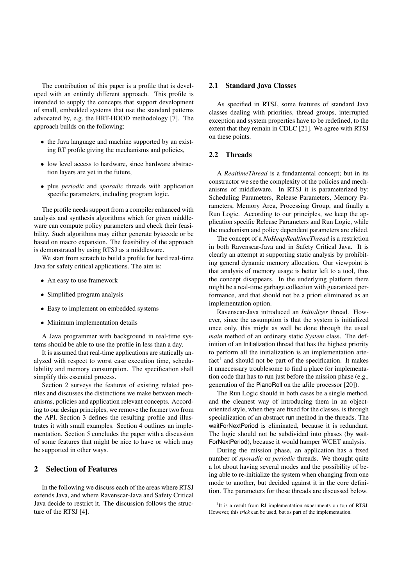The contribution of this paper is a profile that is developed with an entirely different approach. This profile is intended to supply the concepts that support development of small, embedded systems that use the standard patterns advocated by, e.g. the HRT-HOOD methodology [7]. The approach builds on the following:

- the Java language and machine supported by an existing RT profile giving the mechanisms and policies,
- low level access to hardware, since hardware abstraction layers are yet in the future,
- plus *periodic* and *sporadic* threads with application specific parameters, including program logic.

The profile needs support from a compiler enhanced with analysis and synthesis algorithms which for given middleware can compute policy parameters and check their feasibility. Such algorithms may either generate bytecode or be based on macro expansion. The feasibility of the approach is demonstrated by using RTSJ as a middleware.

We start from scratch to build a profile for hard real-time Java for safety critical applications. The aim is:

- An easy to use framework
- Simplified program analysis
- Easy to implement on embedded systems
- Minimum implementation details

A Java programmer with background in real-time systems should be able to use the profile in less than a day.

It is assumed that real-time applications are statically analyzed with respect to worst case execution time, schedulability and memory consumption. The specification shall simplify this essential process.

Section 2 surveys the features of existing related profiles and discusses the distinctions we make between mechanisms, policies and application relevant concepts. According to our design principles, we remove the former two from the API. Section 3 defines the resulting profile and illustrates it with small examples. Section 4 outlines an implementation. Section 5 concludes the paper with a discussion of some features that might be nice to have or which may be supported in other ways.

# 2 Selection of Features

In the following we discuss each of the areas where RTSJ extends Java, and where Ravenscar-Java and Safety Critical Java decide to restrict it. The discussion follows the structure of the RTSJ [4].

#### 2.1 Standard Java Classes

As specified in RTSJ, some features of standard Java classes dealing with priorities, thread groups, interrupted exception and system properties have to be redefined, to the extent that they remain in CDLC [21]. We agree with RTSJ on these points.

#### 2.2 Threads

A *RealtimeThread* is a fundamental concept; but in its constructor we see the complexity of the policies and mechanisms of middleware. In RTSJ it is parameterized by: Scheduling Parameters, Release Parameters, Memory Parameters, Memory Area, Processing Group, and finally a Run Logic. According to our principles, we keep the application specific Release Parameters and Run Logic, while the mechanism and policy dependent parameters are elided.

The concept of a *NoHeapRealtimeThread* is a restriction in both Ravenscar-Java and in Safety Critical Java. It is clearly an attempt at supporting static analysis by prohibiting general dynamic memory allocation. Our viewpoint is that analysis of memory usage is better left to a tool, thus the concept disappears. In the underlying platform there might be a real-time garbage collection with guaranteed performance, and that should not be a priori eliminated as an implementation option.

Ravenscar-Java introduced an *Initializer* thread. However, since the assumption is that the system is initialized once only, this might as well be done through the usual *main* method of an ordinary static *System* class. The definition of an Initialization thread that has the highest priority to perform all the initialization is an implementation arte $fact<sup>1</sup>$  and should not be part of the specification. It makes it unnecessary troublesome to find a place for implementation code that has to run just before the mission phase (e.g., generation of the PianoRoll on the aJile processor [20]).

The Run Logic should in both cases be a single method, and the cleanest way of introducing them in an objectoriented style, when they are fixed for the classes, is through specialization of an abstract run method in the threads. The waitForNextPeriod is eliminated, because it is redundant. The logic should not be subdivided into phases (by wait-ForNextPeriod), because it would hamper WCET analysis.

During the mission phase, an application has a fixed number of *sporadic* or *periodic* threads. We thought quite a lot about having several modes and the possibility of being able to re-initialize the system when changing from one mode to another, but decided against it in the core definition. The parameters for these threads are discussed below.

 $1$ It is a result from RJ implementation experiments on top of RTSJ. However, this *trick* can be used, but as part of the implementation.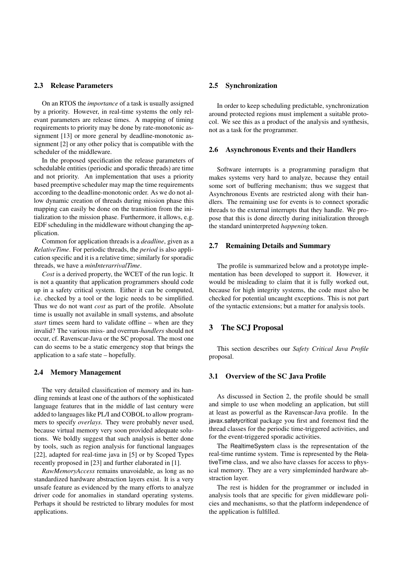#### 2.3 Release Parameters

On an RTOS the *importance* of a task is usually assigned by a priority. However, in real-time systems the only relevant parameters are release times. A mapping of timing requirements to priority may be done by rate-monotonic assignment [13] or more general by deadline-monotonic assignment [2] or any other policy that is compatible with the scheduler of the middleware.

In the proposed specification the release parameters of schedulable entities (periodic and sporadic threads) are time and not priority. An implementation that uses a priority based preemptive scheduler may map the time requirements according to the deadline-monotonic order. As we do not allow dynamic creation of threads during mission phase this mapping can easily be done on the transition from the initialization to the mission phase. Furthermore, it allows, e.g. EDF scheduling in the middleware without changing the application.

Common for application threads is a *deadline*, given as a *RelativeTime*. For periodic threads, the *period* is also application specific and it is a relative time; similarly for sporadic threads, we have a *minInterarrivalTime*.

*Cost* is a derived property, the WCET of the run logic. It is not a quantity that application programmers should code up in a safety critical system. Either it can be computed, i.e. checked by a tool or the logic needs to be simplified. Thus we do not want *cost* as part of the profile. Absolute time is usually not available in small systems, and absolute *start* times seem hard to validate offline – when are they invalid? The various miss- and overrun-*handlers* should not occur, cf. Ravenscar-Java or the SC proposal. The most one can do seems to be a static emergency stop that brings the application to a safe state – hopefully.

#### 2.4 Memory Management

The very detailed classification of memory and its handling reminds at least one of the authors of the sophisticated language features that in the middle of last century were added to languages like PL/I and COBOL to allow programmers to specify *overlays*. They were probably never used, because virtual memory very soon provided adequate solutions. We boldly suggest that such analysis is better done by tools, such as region analysis for functional languages [22], adapted for real-time java in [5] or by Scoped Types recently proposed in [23] and further elaborated in [1].

*RawMemoryAccess* remains unavoidable, as long as no standardized hardware abstraction layers exist. It is a very unsafe feature as evidenced by the many efforts to analyze driver code for anomalies in standard operating systems. Perhaps it should be restricted to library modules for most applications.

### 2.5 Synchronization

In order to keep scheduling predictable, synchronization around protected regions must implement a suitable protocol. We see this as a product of the analysis and synthesis, not as a task for the programmer.

#### 2.6 Asynchronous Events and their Handlers

Software interrupts is a programming paradigm that makes systems very hard to analyze, because they entail some sort of buffering mechanism; thus we suggest that Asynchronous Events are restricted along with their handlers. The remaining use for events is to connect sporadic threads to the external interrupts that they handle. We propose that this is done directly during initialization through the standard uninterpreted *happening* token.

### 2.7 Remaining Details and Summary

The profile is summarized below and a prototype implementation has been developed to support it. However, it would be misleading to claim that it is fully worked out, because for high integrity systems, the code must also be checked for potential uncaught exceptions. This is not part of the syntactic extensions; but a matter for analysis tools.

# 3 The SCJ Proposal

This section describes our *Safety Critical Java Profile* proposal.

### 3.1 Overview of the SC Java Profile

As discussed in Section 2, the profile should be small and simple to use when modeling an application, but still at least as powerful as the Ravenscar-Java profile. In the javax.safetycritical package you first and foremost find the thread classes for the periodic time-triggered activities, and for the event-triggered sporadic activities.

The RealtimeSystem class is the representation of the real-time runtime system. Time is represented by the RelativeTime class, and we also have classes for access to physical memory. They are a very simpleminded hardware abstraction layer.

The rest is hidden for the programmer or included in analysis tools that are specific for given middleware policies and mechanisms, so that the platform independence of the application is fulfilled.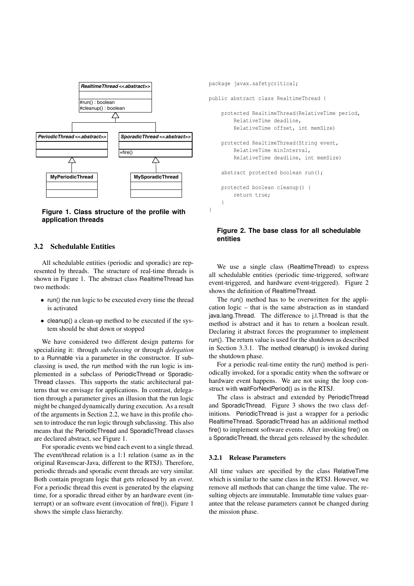

**Figure 1. Class structure of the profile with application threads**

# 3.2 Schedulable Entities

All schedulable entities (periodic and sporadic) are represented by threads. The structure of real-time threads is shown in Figure 1. The abstract class RealtimeThread has two methods:

- run() the run logic to be executed every time the thread is activated
- cleanup() a clean-up method to be executed if the system should be shut down or stopped

We have considered two different design patterns for specializing it: through *subclassing* or through *delegation* to a Runnable via a parameter in the constructor. If subclassing is used, the run method with the run logic is implemented in a subclass of PeriodicThread or Sporadic-Thread classes. This supports the static architectural patterns that we envisage for applications. In contrast, delegation through a parameter gives an illusion that the run logic might be changed dynamically during execution. As a result of the arguments in Section 2.2, we have in this profile chosen to introduce the run logic through subclassing. This also means that the PeriodicThread and SporadicThread classes are declared abstract, see Figure 1.

For sporadic events we bind each event to a single thread. The event/thread relation is a 1:1 relation (same as in the original Ravenscar-Java, different to the RTSJ). Therefore, periodic threads and sporadic event threads are very similar. Both contain program logic that gets released by an *event*. For a periodic thread this event is generated by the elapsing time, for a sporadic thread either by an hardware event (interrupt) or an software event (invocation of fire()). Figure 1 shows the simple class hierarchy.

```
package javax.safetycritical;
public abstract class RealtimeThread {
    protected RealtimeThread(RelativeTime period,
        RelativeTime deadline,
        RelativeTime offset, int memSize)
    protected RealtimeThread(String event,
        RelativeTime minInterval,
        RelativeTime deadline, int memSize)
    abstract protected boolean run();
    protected boolean cleanup() {
        return true;
    }
```
# **Figure 2. The base class for all schedulable entities**

}

We use a single class (RealtimeThread) to express all schedulable entities (periodic time-triggered, software event-triggered, and hardware event-triggered). Figure 2 shows the definition of RealtimeThread.

The run() method has to be overwritten for the application logic – that is the same abstraction as in standard java.lang.Thread. The difference to j.l.Thread is that the method is abstract and it has to return a boolean result. Declaring it abstract forces the programmer to implement run(). The return value is used for the shutdown as described in Section 3.3.1. The method cleanup() is invoked during the shutdown phase.

For a periodic real-time entity the run() method is periodically invoked, for a sporadic entity when the software or hardware event happens. We are not using the loop construct with waitForNextPeriod() as in the RTSJ.

The class is abstract and extended by PeriodicThread and SporadicThread. Figure 3 shows the two class definitions. PeriodicThread is just a wrapper for a periodic RealtimeThread. SporadicThread has an additional method fire() to implement software events. After invoking fire() on a SporadicThread, the thread gets released by the scheduler.

#### 3.2.1 Release Parameters

All time values are specified by the class RelativeTime which is similar to the same class in the RTSJ. However, we remove all methods that can change the time value. The resulting objects are immutable. Immutable time values guarantee that the release parameters cannot be changed during the mission phase.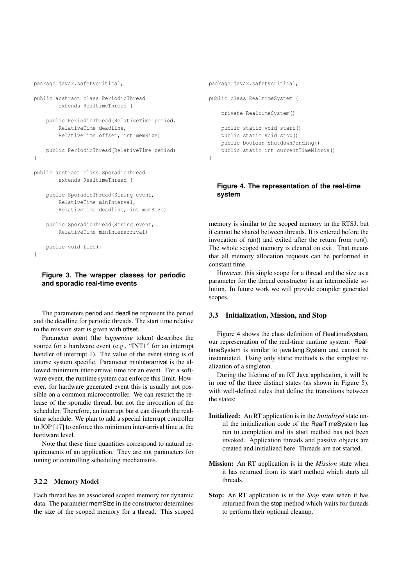```
package javax.safetycritical;
public abstract class PeriodicThread
        extends RealtimeThread {
   public PeriodicThread(RelativeTime period,
       RelativeTime deadline,
        RelativeTime offset, int memSize)
   public PeriodicThread(RelativeTime period)
}
public abstract class SporadicThread
       extends RealtimeThread {
    public SporadicThread(String event,
       RelativeTime minInterval,
        RelativeTime deadline, int memSize)
    public SporadicThread(String event,
        RelativeTime minInterarrival)
   public void fire()
}
```
### **Figure 3. The wrapper classes for periodic and sporadic real-time events**

The parameters period and deadline represent the period and the deadline for periodic threads. The start time relative to the mission start is given with offset.

Parameter event (the *happening* token) describes the source for a hardware event (e.g., "INT1" for an interrupt handler of interrupt 1). The value of the event string is of course system specific. Parameter minInterarrival is the allowed minimum inter-arrival time for an event. For a software event, the runtime system can enforce this limit. However, for hardware generated event this is usually not possible on a common microcontroller. We can restrict the release of the sporadic thread, but not the invocation of the scheduler. Therefore, an interrupt burst can disturb the realtime schedule. We plan to add a special interrupt controller to JOP [17] to enforce this minimum inter-arrival time at the hardware level.

Note that these time quantities correspond to natural requirements of an application. They are not parameters for tuning or controlling scheduling mechanisms.

### 3.2.2 Memory Model

Each thread has an associated scoped memory for dynamic data. The parameter memSize in the constructor determines the size of the scoped memory for a thread. This scoped

```
package javax.safetycritical;
public class RealtimeSystem {
    private RealtimeSystem()
    public static void start()
    public static void stop()
    public boolean shutdownPending()
    public static int currentTimeMicros()
```
}

# **Figure 4. The representation of the real-time system**

memory is similar to the scoped memory in the RTSJ, but it cannot be shared between threads. It is entered before the invocation of run() and exited after the return from run(). The whole scoped memory is cleared on exit. That means that all memory allocation requests can be performed in constant time.

However, this single scope for a thread and the size as a parameter for the thread constructor is an intermediate solution. In future work we will provide compiler generated scopes.

# 3.3 Initialization, Mission, and Stop

Figure 4 shows the class definition of RealtimeSystem, our representation of the real-time runtime system. RealtimeSystem is similar to java.lang.System and cannot be instantiated. Using only static methods is the simplest realization of a singleton.

During the lifetime of an RT Java application, it will be in one of the three distinct states (as shown in Figure 5), with well-defined rules that define the transitions between the states:

- Initialized: An RT application is in the *Initialized* state until the initialization code of the RealTimeSystem has run to completion and its start method has not been invoked. Application threads and passive objects are created and initialized here. Threads are not started.
- Mission: An RT application is in the *Mission* state when it has returned from its start method which starts all threads.
- Stop: An RT application is in the *Stop* state when it has returned from the stop method which waits for threads to perform their optional cleanup.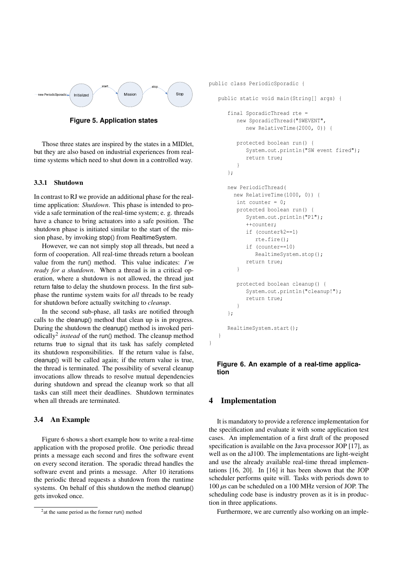

**Figure 5. Application states**

Those three states are inspired by the states in a MIDlet, but they are also based on industrial experiences from realtime systems which need to shut down in a controlled way.

### 3.3.1 Shutdown

In contrast to RJ we provide an additional phase for the realtime application: *Shutdown*. This phase is intended to provide a safe termination of the real-time system; e. g. threads have a chance to bring actuators into a safe position. The shutdown phase is initiated similar to the start of the mission phase, by invoking stop() from RealtimeSystem.

However, we can not simply stop all threads, but need a form of cooperation. All real-time threads return a boolean value from the run() method. This value indicates: *I'm ready for a shutdown*. When a thread is in a critical operation, where a shutdown is not allowed, the thread just return false to delay the shutdown process. In the first subphase the runtime system waits for *all* threads to be ready for shutdown before actually switching to *cleanup*.

In the second sub-phase, all tasks are notified through calls to the cleanup() method that clean up is in progress. During the shutdown the cleanup() method is invoked periodically2 *instead* of the run() method. The cleanup method returns true to signal that its task has safely completed its shutdown responsibilities. If the return value is false, cleanup() will be called again; if the return value is true, the thread is terminated. The possibility of several cleanup invocations allow threads to resolve mutual dependencies during shutdown and spread the cleanup work so that all tasks can still meet their deadlines. Shutdown terminates when all threads are terminated.

### 3.4 An Example

Figure 6 shows a short example how to write a real-time application with the proposed profile. One periodic thread prints a message each second and fires the software event on every second iteration. The sporadic thread handles the software event and prints a message. After 10 iterations the periodic thread requests a shutdown from the runtime systems. On behalf of this shutdown the method cleanup() gets invoked once.

```
public class PeriodicSporadic {
   public static void main(String[] args) {
      final SporadicThread rte =
         new SporadicThread("SWEVENT",
            new RelativeTime(2000, 0)) {
         protected boolean run() {
            System.out.println("SW event fired");
            return true;
         }
      };
      new PeriodicThread(
        new RelativeTime(1000, 0)) {
         int counter = 0;
         protected boolean run() {
            System.out.println("P1");
            ++counter;
            if (counter%2==1)
               rte.fire();
            if (counter==10)
               RealtimeSystem.stop();
            return true;
         }
         protected boolean cleanup() {
            System.out.println("cleanup!");
            return true;
         }
      };
      RealtimeSystem.start();
   }
```
**Figure 6. An example of a real-time application**

## 4 Implementation

}

It is mandatory to provide a reference implementation for the specification and evaluate it with some application test cases. An implementation of a first draft of the proposed specification is available on the Java processor JOP [17], as well as on the aJ100. The implementations are light-weight and use the already available real-time thread implementations [16, 20]. In [16] it has been shown that the JOP scheduler performs quite will. Tasks with periods down to 100 *µ*s can be scheduled on a 100 MHz version of JOP. The scheduling code base is industry proven as it is in production in three applications.

Furthermore, we are currently also working on an imple-

 $2$ at the same period as the former run() method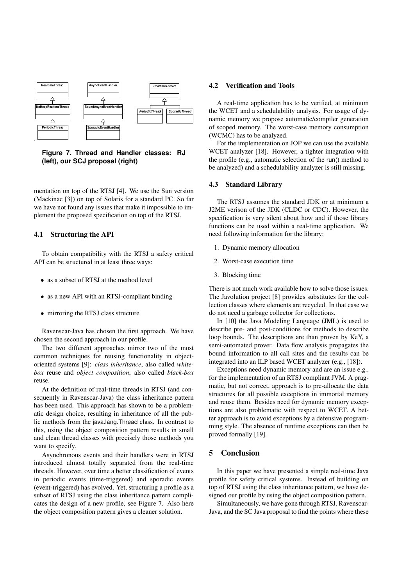

**Figure 7. Thread and Handler classes: RJ (left), our SCJ proposal (right)**

mentation on top of the RTSJ [4]. We use the Sun version (Mackinac [3]) on top of Solaris for a standard PC. So far we have not found any issues that make it impossible to implement the proposed specification on top of the RTSJ.

# 4.1 Structuring the API

To obtain compatibility with the RTSJ a safety critical API can be structured in at least three ways:

- as a subset of RTSJ at the method level
- as a new API with an RTSJ-compliant binding
- mirroring the RTSJ class structure

Ravenscar-Java has chosen the first approach. We have chosen the second approach in our profile.

The two different approaches mirror two of the most common techniques for reusing functionality in objectoriented systems [9]: *class inheritance*, also called *whitebox* reuse and *object composition*, also called *black-box* reuse.

At the definition of real-time threads in RTSJ (and consequently in Ravenscar-Java) the class inheritance pattern has been used. This approach has shown to be a problematic design choice, resulting in inheritance of all the public methods from the java.lang.Thread class. In contrast to this, using the object composition pattern results in small and clean thread classes with precisely those methods you want to specify.

Asynchronous events and their handlers were in RTSJ introduced almost totally separated from the real-time threads. However, over time a better classification of events in periodic events (time-triggered) and sporadic events (event-triggered) has evolved. Yet, structuring a profile as a subset of RTSJ using the class inheritance pattern complicates the design of a new profile, see Figure 7. Also here the object composition pattern gives a cleaner solution.

#### 4.2 Verification and Tools

A real-time application has to be verified, at minimum the WCET and a schedulability analysis. For usage of dynamic memory we propose automatic/compiler generation of scoped memory. The worst-case memory consumption (WCMC) has to be analyzed.

For the implementation on JOP we can use the available WCET analyzer [18]. However, a tighter integration with the profile (e.g., automatic selection of the run() method to be analyzed) and a schedulability analyzer is still missing.

#### 4.3 Standard Library

The RTSJ assumes the standard JDK or at minimum a J2ME verison of the JDK (CLDC or CDC). However, the specification is very silent about how and if those library functions can be used within a real-time application. We need following information for the library:

- 1. Dynamic memory allocation
- 2. Worst-case execution time
- 3. Blocking time

There is not much work available how to solve those issues. The Javolution project [8] provides substitutes for the collection classes where elements are recycled. In that case we do not need a garbage collector for collections.

In [10] the Java Modeling Language (JML) is used to describe pre- and post-conditions for methods to describe loop bounds. The descriptions are than proven by KeY, a semi-automated prover. Data flow analysis propagates the bound information to all call sites and the results can be integrated into an ILP based WCET analyzer (e.g., [18]).

Exceptions need dynamic memory and are an issue e.g., for the implementation of an RTSJ compliant JVM. A pragmatic, but not correct, approach is to pre-allocate the data structures for all possible exceptions in immortal memory and reuse them. Besides need for dynamic memory exceptions are also problematic with respect to WCET. A better approach is to avoid exceptions by a defensive programming style. The absence of runtime exceptions can then be proved formally [19].

# 5 Conclusion

In this paper we have presented a simple real-time Java profile for safety critical systems. Instead of building on top of RTSJ using the class inheritance pattern, we have designed our profile by using the object composition pattern.

Simultaneously, we have gone through RTSJ, Ravenscar-Java, and the SC Java proposal to find the points where these